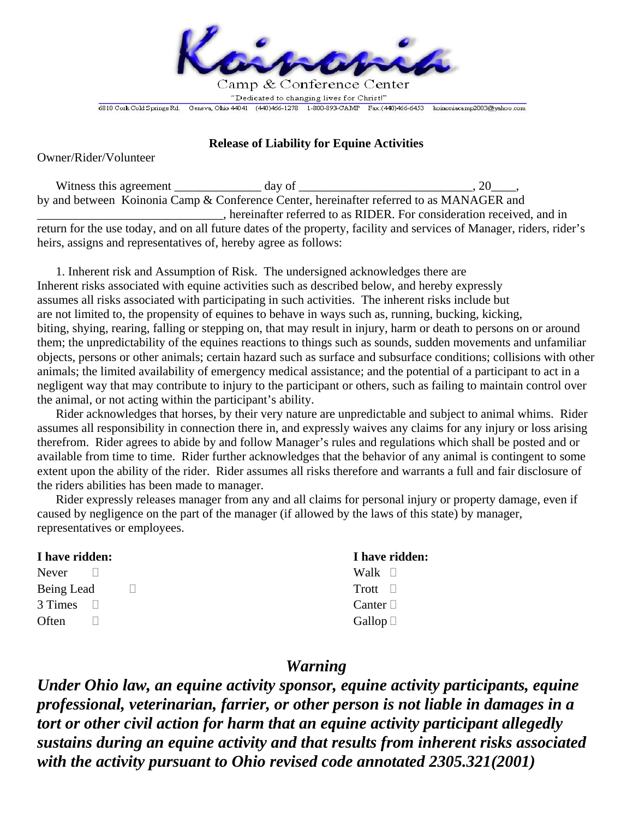

## **Release of Liability for Equine Activities**

Owner/Rider/Volunteer

Witness this agreement day of 3.20 and 3.20 and 3.20 and 3.20 and 3.20 and 3.20 and 3.20 and 3.20 and 3.20 and 3.20 and 3.20 and 3.20 and 3.20 and 3.20 and 3.20 and 3.20 and 3.20 and 3.20 and 3.20 and 3.20 and 3.20 and 3.2 by and between Koinonia Camp & Conference Center, hereinafter referred to as MANAGER and \_\_\_\_\_\_\_\_\_\_\_\_\_\_\_\_\_\_\_\_\_\_\_\_\_\_\_\_\_\_, hereinafter referred to as RIDER. For consideration received, and in

return for the use today, and on all future dates of the property, facility and services of Manager, riders, rider's heirs, assigns and representatives of, hereby agree as follows:

 1. Inherent risk and Assumption of Risk. The undersigned acknowledges there are Inherent risks associated with equine activities such as described below, and hereby expressly assumes all risks associated with participating in such activities. The inherent risks include but are not limited to, the propensity of equines to behave in ways such as, running, bucking, kicking, biting, shying, rearing, falling or stepping on, that may result in injury, harm or death to persons on or around them; the unpredictability of the equines reactions to things such as sounds, sudden movements and unfamiliar objects, persons or other animals; certain hazard such as surface and subsurface conditions; collisions with other animals; the limited availability of emergency medical assistance; and the potential of a participant to act in a negligent way that may contribute to injury to the participant or others, such as failing to maintain control over the animal, or not acting within the participant's ability.

 Rider acknowledges that horses, by their very nature are unpredictable and subject to animal whims. Rider assumes all responsibility in connection there in, and expressly waives any claims for any injury or loss arising therefrom. Rider agrees to abide by and follow Manager's rules and regulations which shall be posted and or available from time to time. Rider further acknowledges that the behavior of any animal is contingent to some extent upon the ability of the rider. Rider assumes all risks therefore and warrants a full and fair disclosure of the riders abilities has been made to manager.

 Rider expressly releases manager from any and all claims for personal injury or property damage, even if caused by negligence on the part of the manager (if allowed by the laws of this state) by manager, representatives or employees.

## **I have ridden: I have ridden:**

Never  $\Box$  Walk  $\Box$ Being Lead  $\Box$  Trott  $\Box$ 3 Times  $\Box$  Canter  $\Box$ Often □ Gallop □

## *Warning*

*Under Ohio law, an equine activity sponsor, equine activity participants, equine professional, veterinarian, farrier, or other person is not liable in damages in a tort or other civil action for harm that an equine activity participant allegedly sustains during an equine activity and that results from inherent risks associated with the activity pursuant to Ohio revised code annotated 2305.321(2001)*